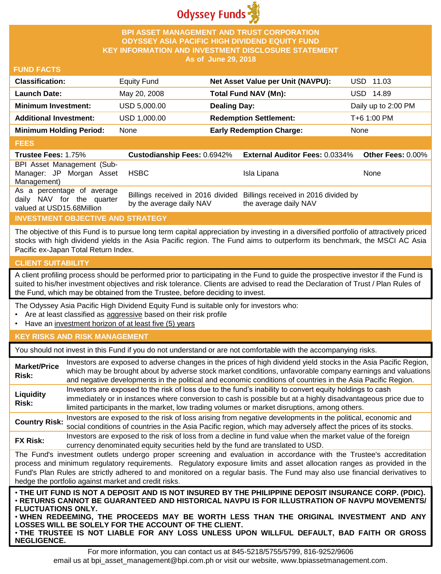

## **BPI ASSET MANAGEMENT AND TRUST CORPORATION ODYSSEY ASIA PACIFIC HIGH DIVIDEND EQUITY FUND KEY INFORMATION AND INVESTMENT DISCLOSURE STATEMENT As of June 29, 2018**

## **FUND FACTS**

| <b>Classification:</b>         | <b>Equity Fund</b> | Net Asset Value per Unit (NAVPU): | USD 11.03           |
|--------------------------------|--------------------|-----------------------------------|---------------------|
| <b>Launch Date:</b>            | May 20, 2008       | Total Fund NAV (Mn):              | USD 14.89           |
| <b>Minimum Investment:</b>     | USD 5,000.00       | <b>Dealing Day:</b>               | Daily up to 2:00 PM |
| <b>Additional Investment:</b>  | USD 1,000.00       | <b>Redemption Settlement:</b>     | T+6 1:00 PM         |
| <b>Minimum Holding Period:</b> | None               | <b>Early Redemption Charge:</b>   | None                |

#### **FEES**

| -----                                                   |                          |                                                                        |                   |
|---------------------------------------------------------|--------------------------|------------------------------------------------------------------------|-------------------|
| <b>Trustee Fees: 1.75%</b>                              |                          | Custodianship Fees: 0.6942% External Auditor Fees: 0.0334%             | Other Fees: 0.00% |
| BPI Asset Management (Sub-                              |                          |                                                                        |                   |
| Manager: JP Morgan Asset                                | HSBC                     | Isla Lipana                                                            | <b>None</b>       |
| Management)                                             |                          |                                                                        |                   |
| As a percentage of average<br>daily NAV for the quarter |                          | Billings received in 2016 divided Billings received in 2016 divided by |                   |
| valued at USD15.68Million                               | by the average daily NAV | the average daily NAV                                                  |                   |

# **INVESTMENT OBJECTIVE AND STRATEGY**

The objective of this Fund is to pursue long term capital appreciation by investing in a diversified portfolio of attractively priced stocks with high dividend yields in the Asia Pacific region. The Fund aims to outperform its benchmark, the MSCI AC Asia Pacific ex-Japan Total Return Index.

# **CLIENT SUITABILITY**

**NEGLIGENCE.**

A client profiling process should be performed prior to participating in the Fund to guide the prospective investor if the Fund is suited to his/her investment objectives and risk tolerance. Clients are advised to read the Declaration of Trust / Plan Rules of the Fund, which may be obtained from the Trustee, before deciding to invest.

The Odyssey Asia Pacific High Dividend Equity Fund is suitable only for investors who:

- Are at least classified as aggressive based on their risk profile
- Have an investment horizon of at least five (5) years

### **KEY RISKS AND RISK MANAGEMENT**

You should not invest in this Fund if you do not understand or are not comfortable with the accompanying risks.

| <b>Market/Price</b><br>Risk:                                                                                                                                                                                                                                                                                                                                                                                                                                                 | Investors are exposed to adverse changes in the prices of high dividend yield stocks in the Asia Pacific Region,<br>which may be brought about by adverse stock market conditions, unfavorable company earnings and valuations<br>and negative developments in the political and economic conditions of countries in the Asia Pacific Region. |  |  |
|------------------------------------------------------------------------------------------------------------------------------------------------------------------------------------------------------------------------------------------------------------------------------------------------------------------------------------------------------------------------------------------------------------------------------------------------------------------------------|-----------------------------------------------------------------------------------------------------------------------------------------------------------------------------------------------------------------------------------------------------------------------------------------------------------------------------------------------|--|--|
| Liquidity<br>Risk:                                                                                                                                                                                                                                                                                                                                                                                                                                                           | Investors are exposed to the risk of loss due to the fund's inability to convert equity holdings to cash<br>immediately or in instances where conversion to cash is possible but at a highly disadvantageous price due to<br>limited participants in the market, low trading volumes or market disruptions, among others.                     |  |  |
| <b>Country Risk:</b>                                                                                                                                                                                                                                                                                                                                                                                                                                                         | Investors are exposed to the risk of loss arising from negative developments in the political, economic and<br>social conditions of countries in the Asia Pacific region, which may adversely affect the prices of its stocks.                                                                                                                |  |  |
| <b>FX Risk:</b>                                                                                                                                                                                                                                                                                                                                                                                                                                                              | Investors are exposed to the risk of loss from a decline in fund value when the market value of the foreign<br>currency denominated equity securities held by the fund are translated to USD.                                                                                                                                                 |  |  |
| The Fund's investment outlets undergo proper screening and evaluation in accordance with the Trustee's accreditation<br>process and minimum regulatory requirements. Regulatory exposure limits and asset allocation ranges as provided in the<br>Fund's Plan Rules are strictly adhered to and monitored on a regular basis. The Fund may also use financial derivatives to<br>hedge the portfolio against market and credit risks.                                         |                                                                                                                                                                                                                                                                                                                                               |  |  |
| . THE UIT FUND IS NOT A DEPOSIT AND IS NOT INSURED BY THE PHILIPPINE DEPOSIT INSURANCE CORP. (PDIC).<br>⋅RETURNS CANNOT BE GUARANTEED AND HISTORICAL NAVPU IS FOR ILLUSTRATION OF NAVPU MOVEMENTS/<br><b>FLUCTUATIONS ONLY.</b><br>. WHEN REDEEMING, THE PROCEEDS MAY BE WORTH LESS THAN THE ORIGINAL INVESTMENT AND ANY<br>LOSSES WILL BE SOLELY FOR THE ACCOUNT OF THE CLIENT.<br>. THE TRUSTEE IS NOT LIABLE FOR ANY LOSS UNLESS UPON WILLFUL DEFAULT, BAD FAITH OR GROSS |                                                                                                                                                                                                                                                                                                                                               |  |  |

For more information, you can contact us at 845-5218/5755/5799, 816-9252/9606 email us at bpi\_asset\_management@bpi.com.ph or visit our website, www.bpiassetmanagement.com.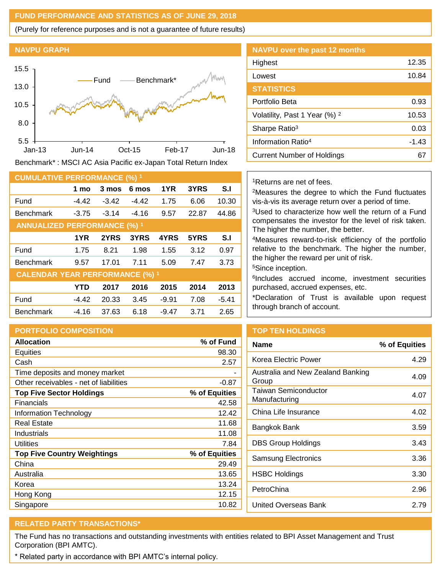## **FUND PERFORMANCE AND STATISTICS AS OF JUNE 29, 2018**

(Purely for reference purposes and is not a guarantee of future results)

#### **NAVPU GRAPH**



Benchmark\* : MSCI AC Asia Pacific ex-Japan Total Return Index

| <b>CUMULATIVE PERFORMANCE (%) 1</b>    |            |         |         |         |       |         |
|----------------------------------------|------------|---------|---------|---------|-------|---------|
|                                        | 1 mo       | 3 mos   | 6 mos   | 1YR     | 3YRS  | S.I     |
| Fund                                   | $-4.42$    | $-3.42$ | $-4.42$ | 1.75    | 6.06  | 10.30   |
| <b>Benchmark</b>                       | $-3.75$    | $-3.14$ | $-4.16$ | 9.57    | 22.87 | 44.86   |
| <b>ANNUALIZED PERFORMANCE (%) 1</b>    |            |         |         |         |       |         |
|                                        | 1YR        | 2YRS    | 3YRS    | 4YRS    | 5YRS  | S.I     |
| Fund                                   | 1.75       | 8.21    | 1.98    | 1.55    | 3.12  | 0.97    |
| <b>Benchmark</b>                       | 9.57       | 17.01   | 7.11    | 5.09    | 7.47  | 3.73    |
| <b>CALENDAR YEAR PERFORMANCE (%) 1</b> |            |         |         |         |       |         |
|                                        | <b>YTD</b> | 2017    | 2016    | 2015    | 2014  | 2013    |
| Fund                                   | $-4.42$    | 20.33   | 3.45    | $-9.91$ | 7.08  | $-5.41$ |
| <b>Benchmark</b>                       | $-4.16$    | 37.63   | 6.18    | $-9.47$ | 3.71  | 2.65    |

# **PORTFOLIO COMPOSITION**

| <b>Allocation</b>                      | % of Fund     |
|----------------------------------------|---------------|
| Equities                               | 98.30         |
| Cash                                   | 2.57          |
| Time deposits and money market         |               |
| Other receivables - net of liabilities | $-0.87$       |
| <b>Top Five Sector Holdings</b>        | % of Equities |
| Financials                             | 42.58         |
| Information Technology                 | 12.42         |
| <b>Real Estate</b>                     | 11.68         |
| Industrials                            | 11.08         |
| Utilities                              | 7.84          |
| <b>Top Five Country Weightings</b>     | % of Equities |
| China                                  | 29.49         |
| Australia                              | 13.65         |
| Korea                                  | 13.24         |
| Hong Kong                              | 12.15         |
| Singapore                              | 10.82         |

| <b>NAVPU over the past 12 months</b>     |         |
|------------------------------------------|---------|
| Highest                                  | 12.35   |
| Lowest                                   | 10.84   |
| <b>STATISTICS</b>                        |         |
| Portfolio Beta                           | 0.93    |
| Volatility, Past 1 Year (%) <sup>2</sup> | 10.53   |
| Sharpe Ratio <sup>3</sup>                | 0.03    |
| Information Ratio <sup>4</sup>           | $-1.43$ |
| Current Number of Holdings               |         |

### <sup>1</sup>Returns are net of fees.

<sup>2</sup>Measures the degree to which the Fund fluctuates vis-à-vis its average return over a period of time.

<sup>3</sup>Used to characterize how well the return of a Fund compensates the investor for the level of risk taken. The higher the number, the better.

<sup>4</sup>Measures reward-to-risk efficiency of the portfolio relative to the benchmark. The higher the number, the higher the reward per unit of risk.

<sup>5</sup>Since inception.

6 Includes accrued income, investment securities purchased, accrued expenses, etc.

\*Declaration of Trust is available upon request through branch of account.

# **TOP TEN HOLDINGS**

| % of Equities |
|---------------|
| 4.29          |
| 4.09          |
| 4.07          |
| 4.02          |
| 3.59          |
| 3.43          |
| 3.36          |
| 3.30          |
| 2.96          |
| 2 79          |
|               |

# **RELATED PARTY TRANSACTIONS\***

The Fund has no transactions and outstanding investments with entities related to BPI Asset Management and Trust Corporation (BPI AMTC).

\* Related party in accordance with BPI AMTC's internal policy.